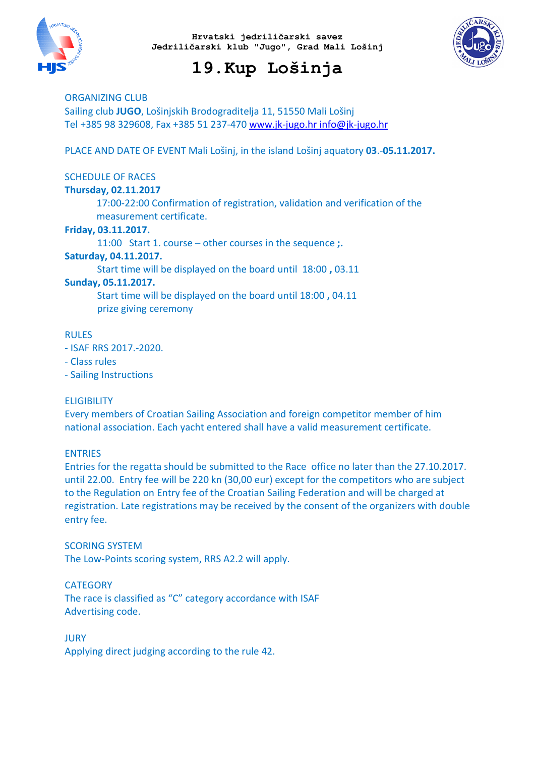



## 19.Kup Lošinja

ORGANIZING CLUB Sailing club JUGO, Lošinjskih Brodograditelja 11, 51550 Mali Lošinj Tel +385 98 329608, Fax +385 51 237-470 www.jk-jugo.hr info@jk-jugo.hr

PLACE AND DATE OF EVENT Mali Lošinj, in the island Lošinj aquatory 03.-05.11.2017.

## SCHEDULE OF RACES

## Thursday, 02.11.2017

17:00-22:00 Confirmation of registration, validation and verification of the measurement certificate.

## Friday, 03.11.2017.

11:00 Start 1. course – other courses in the sequence ;.

#### Saturday, 04.11.2017.

Start time will be displayed on the board until 18:00 , 03.11

## Sunday, 05.11.2017.

Start time will be displayed on the board until 18:00 , 04.11 prize giving ceremony

#### RULES

- ISAF RRS 2017.-2020.
- Class rules
- Sailing Instructions

## **ELIGIBILITY**

Every members of Croatian Sailing Association and foreign competitor member of him national association. Each yacht entered shall have a valid measurement certificate.

## ENTRIES

Entries for the regatta should be submitted to the Race office no later than the 27.10.2017. until 22.00. Entry fee will be 220 kn (30,00 eur) except for the competitors who are subject to the Regulation on Entry fee of the Croatian Sailing Federation and will be charged at registration. Late registrations may be received by the consent of the organizers with double entry fee.

#### SCORING SYSTEM

The Low-Points scoring system, RRS A2.2 will apply.

## **CATEGORY**

The race is classified as "C" category accordance with ISAF Advertising code.

#### **JURY**

Applying direct judging according to the rule 42.